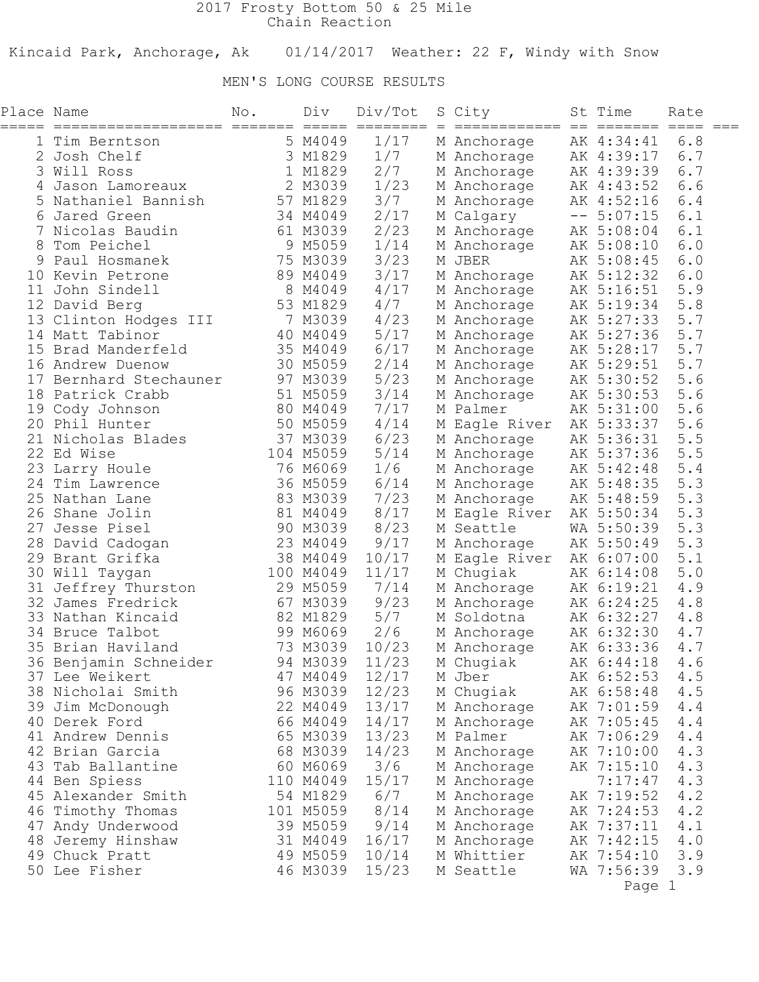## 2017 Frosty Bottom 50 & 25 Mile Chain Reaction

Kincaid Park, Anchorage, Ak 01/14/2017 Weather: 22 F, Windy with Snow

## MEN'S LONG COURSE RESULTS

| Place Name<br>===== | ============================           | No. | Div                  | Div/Tot<br>$=$ $=$ $=$ $=$ $=$ $=$ $=$ $=$ $=$ | S City<br>===============  | St Time<br>=======       | Rate       |  |
|---------------------|----------------------------------------|-----|----------------------|------------------------------------------------|----------------------------|--------------------------|------------|--|
|                     | 1 Tim Berntson                         |     | 5 M4049              | 1/17                                           | M Anchorage                | AK 4:34:41               | 6.8        |  |
|                     | Josh Chelf                             |     | 3 M1829              | 1/7                                            | M Anchorage                | AK 4:39:17               | 6.7        |  |
|                     | 3 Will Ross                            |     | 1 M1829              | 2/7                                            | M Anchorage                | AK 4:39:39               | 6.7        |  |
|                     | Jason Lamoreaux                        |     | 2 M3039              | 1/23                                           | M Anchorage                | AK 4:43:52               | 6.6        |  |
|                     | Nathaniel Bannish                      |     | 57 M1829             | 3/7                                            | M Anchorage                | AK 4:52:16               | 6.4        |  |
|                     | 6 Jared Green                          |     | 34 M4049             | 2/17                                           | M Calgary                  | $-- 5:07:15$             | 6.1        |  |
|                     | Nicolas Baudin                         |     | 61 M3039             | 2/23                                           | M Anchorage                | AK 5:08:04               | 6.1        |  |
| 8                   | Tom Peichel                            |     | 9 M5059              | 1/14                                           | M Anchorage                | AK 5:08:10               | 6.0        |  |
| 9                   | Paul Hosmanek                          |     | 75 M3039             | 3/23                                           | M JBER                     | AK 5:08:45               | 6.0        |  |
|                     | 10 Kevin Petrone                       |     | 89 M4049             | 3/17                                           | M Anchorage                | AK 5:12:32               | 6.0        |  |
| 11                  | John Sindell                           |     | 8 M4049              | 4/17                                           | M Anchorage                | AK 5:16:51               | 5.9        |  |
|                     | 12 David Berg                          |     | 53 M1829             | 4/7                                            | M Anchorage                | AK 5:19:34               | 5.8        |  |
|                     | 13 Clinton Hodges III                  |     | 7 M3039              | 4/23                                           | M Anchorage                | AK 5:27:33               | 5.7        |  |
|                     | 14 Matt Tabinor                        |     | 40 M4049             | 5/17                                           | M Anchorage                | AK 5:27:36               | 5.7        |  |
| 15                  | Brad Manderfeld                        |     | 35 M4049             | 6/17                                           | M Anchorage                | AK 5:28:17               | 5.7        |  |
|                     | 16 Andrew Duenow                       |     | 30 M5059             | 2/14                                           | M Anchorage                | AK 5:29:51               | 5.7        |  |
| 17                  | Bernhard Stechauner                    |     | 97 M3039             | 5/23                                           | M Anchorage                | AK 5:30:52               | 5.6        |  |
|                     | 18 Patrick Crabb                       |     | 51 M5059             | 3/14                                           | M Anchorage                | AK 5:30:53               | 5.6        |  |
|                     | 19 Cody Johnson                        |     | 80 M4049             | 7/17                                           | M Palmer                   | AK 5:31:00               | 5.6        |  |
|                     | 20 Phil Hunter                         |     | 50 M5059             | 4/14                                           | M Eagle River              | AK 5:33:37               | 5.6        |  |
|                     | 21 Nicholas Blades                     |     | 37 M3039             | 6/23                                           | M Anchorage                | AK 5:36:31               | 5.5        |  |
|                     | 22 Ed Wise                             |     | 104 M5059            | 5/14                                           | M Anchorage                | AK 5:37:36               | 5.5        |  |
|                     | 23 Larry Houle                         |     | 76 M6069             | 1/6                                            | M Anchorage                | AK 5:42:48               | 5.4        |  |
|                     | 24 Tim Lawrence                        |     | 36 M5059             | 6/14                                           | M Anchorage                | AK 5:48:35               | 5.3        |  |
|                     | 25 Nathan Lane                         |     | 83 M3039             | 7/23                                           | M Anchorage                | AK 5:48:59               | 5.3        |  |
|                     | 26 Shane Jolin                         |     | 81 M4049             | 8/17                                           | M Eagle River              | AK 5:50:34               | 5.3        |  |
| 27                  | Jesse Pisel                            |     | 90 M3039             | 8/23                                           | M Seattle                  | WA 5:50:39               | 5.3        |  |
|                     | 28 David Cadogan                       |     | 23 M4049             | 9/17                                           | M Anchorage                | AK 5:50:49               | 5.3        |  |
|                     | 29 Brant Grifka                        |     | 38 M4049             | 10/17                                          | M Eagle River              | AK 6:07:00               | 5.1        |  |
|                     | 30 Will Taygan                         |     | 100 M4049            | 11/17                                          | M Chugiak                  | AK 6:14:08               | 5.0        |  |
|                     | 31 Jeffrey Thurston                    |     | 29 M5059             | 7/14                                           | M Anchorage                | AK 6:19:21               | 4.9        |  |
|                     | 32 James Fredrick                      |     | 67 M3039             | 9/23                                           | M Anchorage                | AK 6:24:25               | 4.8        |  |
|                     | 33 Nathan Kincaid                      |     | 82 M1829             | 5/7                                            | M Soldotna                 | AK 6:32:27               | 4.8        |  |
|                     | 34 Bruce Talbot                        |     | 99 M6069             | 2/6                                            | M Anchorage                | AK 6:32:30               | 4.7        |  |
|                     | 35 Brian Haviland                      |     | 73 M3039             | 10/23                                          | M Anchorage                | AK 6:33:36               | 4.7        |  |
|                     | 36 Benjamin Schneider                  |     | 94 M3039             | 11/23                                          | M Chugiak                  | AK 6:44:18               | 4.6        |  |
|                     | 37 Lee Weikert                         |     | 47 M4049             | 12/17                                          | M Jber                     | AK 6:52:53               | $4.5$      |  |
|                     | 38 Nicholai Smith                      |     | 96 M3039             | 12/23                                          | M Chugiak                  | AK 6:58:48               | 4.5<br>4.4 |  |
|                     | 39 Jim McDonough                       |     | 22 M4049<br>66 M4049 | 13/17<br>14/17                                 | M Anchorage                | AK 7:01:59               | 4.4        |  |
|                     | 40 Derek Ford<br>41 Andrew Dennis      |     | 65 M3039             | 13/23                                          | M Anchorage<br>M Palmer    | AK 7:05:45<br>AK 7:06:29 | 4.4        |  |
|                     | 42 Brian Garcia                        |     | 68 M3039             | 14/23                                          |                            | AK 7:10:00               | 4.3        |  |
|                     | 43 Tab Ballantine                      |     | 60 M6069             | 3/6                                            | M Anchorage                | AK 7:15:10               | 4.3        |  |
|                     |                                        |     | 110 M4049            | 15/17                                          | M Anchorage<br>M Anchorage | 7:17:47                  | 4.3        |  |
|                     | 44 Ben Spiess<br>45 Alexander Smith    |     | 54 M1829             | 6/7                                            | M Anchorage                | AK 7:19:52               | 4.2        |  |
|                     |                                        |     | 101 M5059            | 8/14                                           | M Anchorage                | AK 7:24:53               | 4.2        |  |
|                     | 46 Timothy Thomas<br>47 Andy Underwood |     | 39 M5059             | 9/14                                           | M Anchorage                | AK 7:37:11               | 4.1        |  |
|                     | 48 Jeremy Hinshaw                      |     | 31 M4049             | 16/17                                          | M Anchorage                | AK 7:42:15               | 4.0        |  |
|                     | 49 Chuck Pratt                         |     | 49 M5059             | 10/14                                          | M Whittier                 | AK 7:54:10               | 3.9        |  |
|                     | 50 Lee Fisher                          |     | 46 M3039             | 15/23                                          | M Seattle                  | WA 7:56:39               | 3.9        |  |
|                     |                                        |     |                      |                                                |                            | Page 1                   |            |  |
|                     |                                        |     |                      |                                                |                            |                          |            |  |